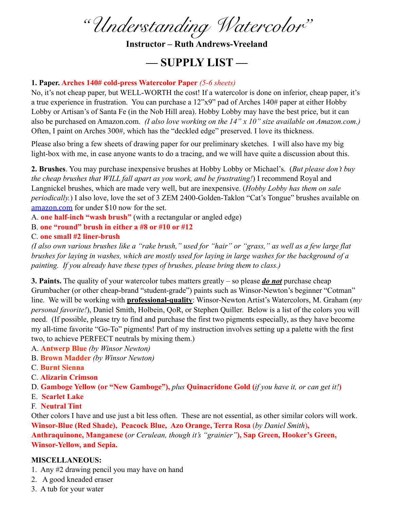*"Understanding Watercolor"*

**Instructor – Ruth Andrews-Vreeland**

## **— SUPPLY LIST —**

## **1. Paper. Arches 140# cold-press Watercolor Paper** *(5-6 sheets)*

No, it's not cheap paper, but WELL-WORTH the cost! If a watercolor is done on inferior, cheap paper, it's a true experience in frustration. You can purchase a 12"x9" pad of Arches 140# paper at either Hobby Lobby or Artisan's of Santa Fe (in the Nob Hill area). Hobby Lobby may have the best price, but it can also be purchased on Amazon.com. *(I also love working on the 14" x 10" size available on Amazon.com.)*  Often, I paint on Arches 300#, which has the "deckled edge" preserved. I love its thickness.

Please also bring a few sheets of drawing paper for our preliminary sketches. I will also have my big light-box with me, in case anyone wants to do a tracing, and we will have quite a discussion about this.

**2. Brushes**. You may purchase inexpensive brushes at Hobby Lobby or Michael's. (*But please don't buy the cheap brushes that WILL fall apart as you work, and be frustrating!*) I recommend Royal and Langnickel brushes, which are made very well, but are inexpensive. (*Hobby Lobby has them on sale periodically.*) I also love, love the set of 3 ZEM 2400-Golden-Taklon "Cat's Tongue" brushes available on [amazon.com](http://amazon.com) for under \$10 now for the set.

A. **one half-inch "wash brush"** (with a rectangular or angled edge)

B. **one "round" brush in either a #8 or #10 or #12**

## C. **one small #2 liner-brush**

*(I also own various brushes like a "rake brush," used for "hair" or "grass," as well as a few large flat brushes for laying in washes, which are mostly used for laying in large washes for the background of a painting. If you already have these types of brushes, please bring them to class.)*

**3. Paints.** The quality of your watercolor tubes matters greatly – so please *do not* purchase cheap Grumbacher (or other cheap-brand "student-grade") paints such as Winsor-Newton's beginner "Cotman" line. We will be working with **professional-quality**: Winsor-Newton Artist's Watercolors, M. Graham (*my personal favorite!*), Daniel Smith, Holbein, QoR, or Stephen Quiller. Below is a list of the colors you will need. (If possible, please try to find and purchase the first two pigments especially, as they have become my all-time favorite "Go-To" pigments! Part of my instruction involves setting up a palette with the first two, to achieve PERFECT neutrals by mixing them.)

- A. **Antwerp Blue** *(by Winsor Newton)*
- B. **Brown Madder** *(by Winsor Newton)*
- C. **Burnt Sienna**
- C. **Alizarin Crimson**
- D. **Gamboge Yellow (or "New Gamboge"),** *plus* **Quinacridone Gold (***if you have it, or can get it!***)**
- E. **Scarlet Lake**
- F. **Neutral Tint**

Other colors I have and use just a bit less often. These are not essential, as other similar colors will work. **Winsor-Blue (Red Shade), Peacock Blue, Azo Orange, Terra Rosa** (*by Daniel Smith*)**,** 

**Anthraquinone, Manganese (***or Cerulean, though it's "grainier"***), Sap Green, Hooker's Green, Winsor-Yellow, and Sepia.**

## **MISCELLANEOUS:**

- 1. Any #2 drawing pencil you may have on hand
- 2. A good kneaded eraser
- 3. A tub for your water